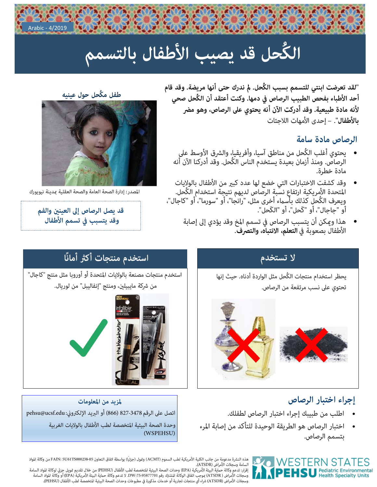

# الكُحل قد يصيب الأطفال بالتسمم

"لقد تعرضت ابنتي للتسمم بسبب الكُحل. لم ندرك حتى أنها مريضة. وقد قام أحد الأطباء بفحص الطبيب الرصاص في دمها. وكنت أعتقد أن الكُحل صحي لأنه مادة طبيعية. وقد أدركت الآن أنه يحتوي على الرصاص، وهو مضر بالأطفال". – إحدى الأمهات اللاجئات

### الرصاص مادة سامة

- يحتوي أغلب الكُحل من مناطق آسيا، وأفريقيا، والشرق الأوسط على<br>الرصاص. ومنذ أزمان بعيدة يستخدم الناس الكُحل. وقد أدركنا الآن أنه مادة خطرة.
- وقد كشفت الاختبارات التي خضع لها عدد كبير من الأطفال بالولايات<br>المتحدة الأمريكية ارتفاعٍ نسبةٍ الرصاص لديهم نتيجة استخدام ٍالكُحل. ويعرف الكُحلّ كَذلك بأسماء أخرى مثل، "رانجا"، أو "سورما"، أو "كاجال"، أَو "جاجال"، أو "كَحل"، أو "الكَحل".
	- هذا وعكن أن يتسبب الرصاص في تسمم المخ وقد يؤدي إلى إصابة  $\bullet$ الأطفال بصعوبة في التعلم، الانتباه، والتصرف.

#### طفل مكُحل حول عينيه



المصدر: إدارة الصحة العامة والصحة العقلية عدينة نيويورك

قد يصل الرصاص إلى العينين والفم وقد يتسبب في تسمم الأطفال

### لا تستخدم

يحظر استخدام منتجات الكُحل مثل الواردة أدناه. حيث إنها تحتوي على نسب مرتفعة من الرصاص.



### إجراء اختبار الرصاص

- اطلب من طبيبك إجراء اختبار الرصاص لطفلك.
- اختبار الرصاص هو الطريقة الوحيدة للتأكد من إصابة المرء بتسمم الرصاص.

## استخدم منتجات أكثر أمانًا





#### لمزيد من المعلومات اتصل على الرقم 827-3478 (866) أو البريد الإلكتروني: pehsu@ucsf.edu وحدة الصحة البيئية المتخصصة لطب الأطفال بالولايات الغربية (WSPEHSU)



هذه النشرة مدعومة من جانب الكلية الأمريكية لطب السموم (ACMT) وقول (جزئياً) بواسطة اتفاق التعاون FAIN: 5U61TS000238-05 من وكالة المواد<br>السامة وسجلات الأمراض (ATSDR).

.<br>إقرار: تدعم وكالة حماية البيئة الأمريكية (EPA) وحدات الصحة البيئية المتخصصة لطب الأطفال (PEHSU) من خلال تقديم قويل جزئي لوكالة المواد السامة<br>وسجلات الأمراض ( ATSDR) موجب اتفاق الوكالة المشترك رقم DW-75-9877701. لا تدعم